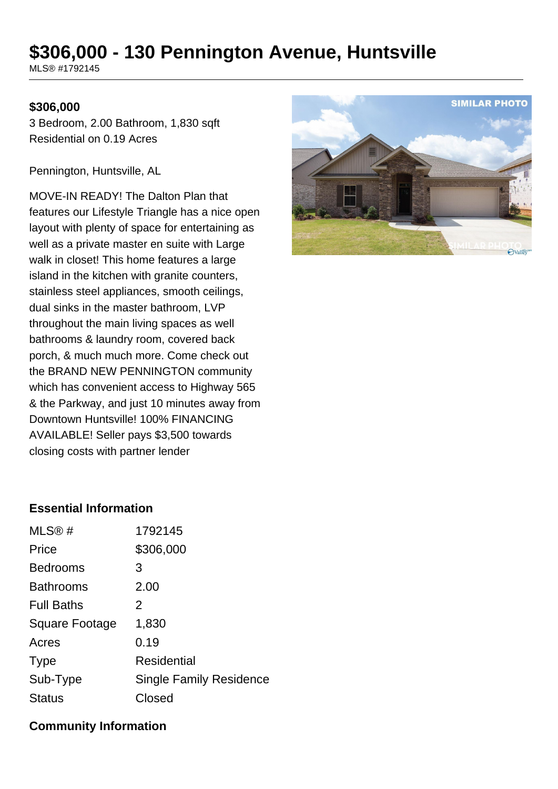# **\$306,000 - 130 Pennington Avenue, Huntsville**

MLS® #1792145

### **\$306,000**

3 Bedroom, 2.00 Bathroom, 1,830 sqft Residential on 0.19 Acres

Pennington, Huntsville, AL

MOVE-IN READY! The Dalton Plan that features our Lifestyle Triangle has a nice open layout with plenty of space for entertaining as well as a private master en suite with Large walk in closet! This home features a large island in the kitchen with granite counters, stainless steel appliances, smooth ceilings, dual sinks in the master bathroom, LVP throughout the main living spaces as well bathrooms & laundry room, covered back porch, & much much more. Come check out the BRAND NEW PENNINGTON community which has convenient access to Highway 565 & the Parkway, and just 10 minutes away from Downtown Huntsville! 100% FINANCING AVAILABLE! Seller pays \$3,500 towards closing costs with partner lender



## **Essential Information**

| MLS®#             | 1792145                        |
|-------------------|--------------------------------|
| Price             | \$306,000                      |
| <b>Bedrooms</b>   | 3                              |
| <b>Bathrooms</b>  | 2.00                           |
| <b>Full Baths</b> | 2                              |
| Square Footage    | 1,830                          |
| Acres             | 0.19                           |
| <b>Type</b>       | Residential                    |
| Sub-Type          | <b>Single Family Residence</b> |
| <b>Status</b>     | Closed                         |

### **Community Information**